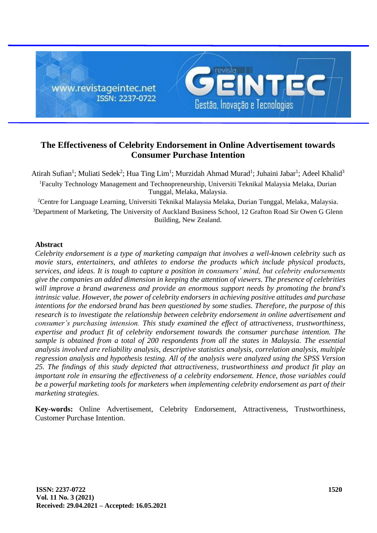

# **The Effectiveness of Celebrity Endorsement in Online Advertisement towards Consumer Purchase Intention**

Atirah Sufian<sup>1</sup>; Muliati Sedek<sup>2</sup>; Hua Ting Lim<sup>1</sup>; Murzidah Ahmad Murad<sup>1</sup>; Juhaini Jabar<sup>1</sup>; Adeel Khalid<sup>3</sup> <sup>1</sup>Faculty Technology Management and Technopreneurship, Universiti Teknikal Malaysia Melaka, Durian Tunggal, Melaka, [Malaysia.](https://en.wikipedia.org/wiki/Malaysia)

<sup>2</sup>Centre for Language Learning, Universiti Teknikal Malaysia Melaka, Durian Tunggal, Melaka, [Malaysia.](https://en.wikipedia.org/wiki/Malaysia) <sup>3</sup>Department of Marketing, The University of Auckland Business School, 12 Grafton Road Sir Owen G Glenn Building, New Zealand.

# **Abstract**

*Celebrity endorsement is a type of marketing campaign that involves a well-known celebrity such as movie stars, entertainers, and athletes to endorse the products which include physical products, services, and ideas. It is tough to capture a position in consumers' mind, but celebrity endorsements give the companies an added dimension in keeping the attention of viewers. The presence of celebrities will improve a brand awareness and provide an enormous support needs by promoting the brand's intrinsic value. However, the power of celebrity endorsers in achieving positive attitudes and purchase intentions for the endorsed brand has been questioned by some studies. Therefore, the purpose of this research is to investigate the relationship between celebrity endorsement in online advertisement and consumer's purchasing intension. This study examined the effect of attractiveness, trustworthiness, expertise and product fit of celebrity endorsement towards the consumer purchase intention. The sample is obtained from a total of 200 respondents from all the states in Malaysia. The essential analysis involved are reliability analysis, descriptive statistics analysis, correlation analysis, multiple regression analysis and hypothesis testing. All of the analysis were analyzed using the SPSS Version 25. The findings of this study depicted that attractiveness, trustworthiness and product fit play an important role in ensuring the effectiveness of a celebrity endorsement. Hence, those variables could be a powerful marketing tools for marketers when implementing celebrity endorsement as part of their marketing strategies.* 

**Key-words:** Online Advertisement, Celebrity Endorsement, Attractiveness, Trustworthiness, Customer Purchase Intention.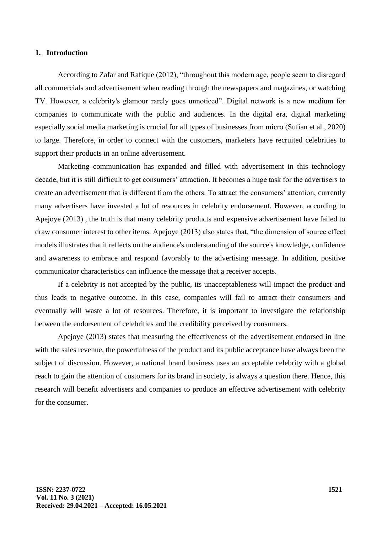#### **1. Introduction**

According to Zafar and Rafique (2012), "throughout this modern age, people seem to disregard all commercials and advertisement when reading through the newspapers and magazines, or watching TV. However, a celebrity's glamour rarely goes unnoticed". Digital network is a new medium for companies to communicate with the public and audiences. In the digital era, digital marketing especially social media marketing is crucial for all types of businesses from micro (Sufian et al., 2020) to large. Therefore, in order to connect with the customers, marketers have recruited celebrities to support their products in an online advertisement.

Marketing communication has expanded and filled with advertisement in this technology decade, but it is still difficult to get consumers' attraction. It becomes a huge task for the advertisers to create an advertisement that is different from the others. To attract the consumers' attention, currently many advertisers have invested a lot of resources in celebrity endorsement. However, according to Apejoye (2013) , the truth is that many celebrity products and expensive advertisement have failed to draw consumer interest to other items. Apejoye (2013) also states that, "the dimension of source effect models illustrates that it reflects on the audience's understanding of the source's knowledge, confidence and awareness to embrace and respond favorably to the advertising message. In addition, positive communicator characteristics can influence the message that a receiver accepts.

If a celebrity is not accepted by the public, its unacceptableness will impact the product and thus leads to negative outcome. In this case, companies will fail to attract their consumers and eventually will waste a lot of resources. Therefore, it is important to investigate the relationship between the endorsement of celebrities and the credibility perceived by consumers.

Apejoye (2013) states that measuring the effectiveness of the advertisement endorsed in line with the sales revenue, the powerfulness of the product and its public acceptance have always been the subject of discussion. However, a national brand business uses an acceptable celebrity with a global reach to gain the attention of customers for its brand in society, is always a question there. Hence, this research will benefit advertisers and companies to produce an effective advertisement with celebrity for the consumer.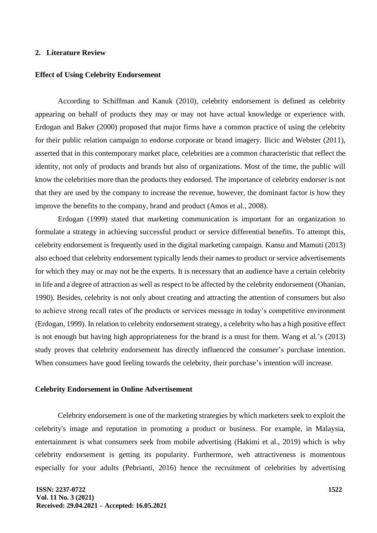## **2. Literature Review**

#### **Effect of Using Celebrity Endorsement**

According to Schiffman and Kanuk (2010), celebrity endorsement is defined as celebrity appearing on behalf of products they may or may not have actual knowledge or experience with. Erdogan and Baker (2000) proposed that major firms have a common practice of using the celebrity for their public relation campaign to endorse corporate or brand imagery. Ilicic and Webster (2011), asserted that in this contemporary market place, celebrities are a common characteristic that reflect the identity, not only of products and brands but also of organizations. Most of the time, the public will know the celebrities more than the products they endorsed. The importance of celebrity endorser is not that they are used by the company to increase the revenue, however, the dominant factor is how they improve the benefits to the company, brand and product (Amos et al., 2008).

Erdogan (1999) stated that marketing communication is important for an organization to formulate a strategy in achieving successful product or service differential benefits. To attempt this, celebrity endorsement is frequently used in the digital marketing campaign. Kansu and Mamuti (2013) also echoed that celebrity endorsement typically lends their names to product or service advertisements for which they may or may not be the experts. It is necessary that an audience have a certain celebrity in life and a degree of attraction as well as respect to be affected by the celebrity endorsement (Ohanian, 1990). Besides, celebrity is not only about creating and attracting the attention of consumers but also to achieve strong recall rates of the products or services message in today's competitive environment (Erdogan, 1999). In relation to celebrity endorsement strategy, a celebrity who has a high positive effect is not enough but having high appropriateness for the brand is a must for them. Wang et al.'s (2013) study proves that celebrity endorsement has directly influenced the consumer's purchase intention. When consumers have good feeling towards the celebrity, their purchase's intention will increase.

#### **Celebrity Endorsement in Online Advertisement**

Celebrity endorsement is one of the marketing strategies by which marketers seek to exploit the celebrity's image and reputation in promoting a product or business. For example, in Malaysia, entertainment is what consumers seek from mobile advertising (Hakimi et al., 2019) which is why celebrity endorsement is getting its popularity. Furthermore, web attractiveness is momentous especially for your adults (Pebrianti, 2016) hence the recruitment of celebrities by advertising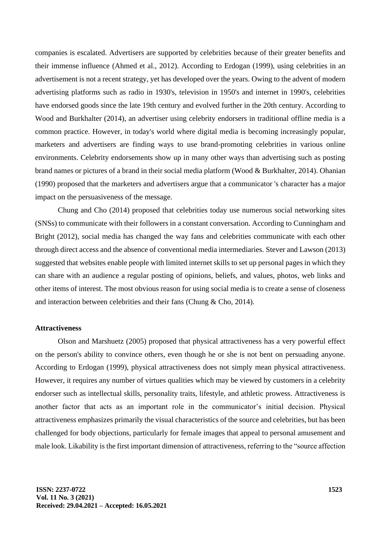companies is escalated. Advertisers are supported by celebrities because of their greater benefits and their immense influence (Ahmed et al., 2012). According to Erdogan (1999), using celebrities in an advertisement is not a recent strategy, yet has developed over the years. Owing to the advent of modern advertising platforms such as radio in 1930's, television in 1950's and internet in 1990's, celebrities have endorsed goods since the late 19th century and evolved further in the 20th century. According to Wood and Burkhalter (2014), an advertiser using celebrity endorsers in traditional offline media is a common practice. However, in today's world where digital media is becoming increasingly popular, marketers and advertisers are finding ways to use brand-promoting celebrities in various online environments. Celebrity endorsements show up in many other ways than advertising such as posting brand names or pictures of a brand in their social media platform (Wood & Burkhalter, 2014). Ohanian (1990) proposed that the marketers and advertisers argue that a communicator 's character has a major impact on the persuasiveness of the message.

Chung and Cho (2014) proposed that celebrities today use numerous social networking sites (SNSs) to communicate with their followers in a constant conversation. According to Cunningham and Bright (2012), social media has changed the way fans and celebrities communicate with each other through direct access and the absence of conventional media intermediaries. Stever and Lawson (2013) suggested that websites enable people with limited internet skills to set up personal pages in which they can share with an audience a regular posting of opinions, beliefs, and values, photos, web links and other items of interest. The most obvious reason for using social media is to create a sense of closeness and interaction between celebrities and their fans (Chung & Cho, 2014).

#### **Attractiveness**

Olson and Marshuetz (2005) proposed that physical attractiveness has a very powerful effect on the person's ability to convince others, even though he or she is not bent on persuading anyone. According to Erdogan (1999), physical attractiveness does not simply mean physical attractiveness. However, it requires any number of virtues qualities which may be viewed by customers in a celebrity endorser such as intellectual skills, personality traits, lifestyle, and athletic prowess. Attractiveness is another factor that acts as an important role in the communicator's initial decision. Physical attractiveness emphasizes primarily the visual characteristics of the source and celebrities, but has been challenged for body objections, particularly for female images that appeal to personal amusement and male look. Likability is the first important dimension of attractiveness, referring to the "source affection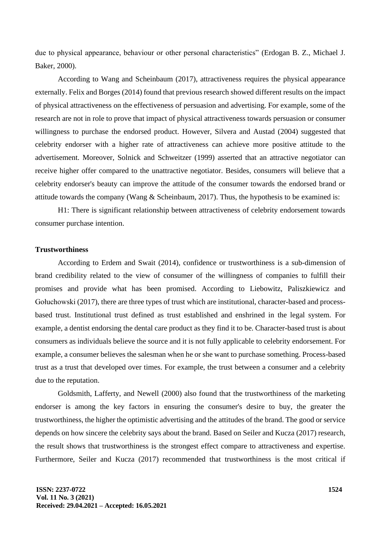due to physical appearance, behaviour or other personal characteristics" (Erdogan B. Z., Michael J. Baker, 2000).

According to Wang and Scheinbaum (2017), attractiveness requires the physical appearance externally. Felix and Borges (2014) found that previous research showed different results on the impact of physical attractiveness on the effectiveness of persuasion and advertising. For example, some of the research are not in role to prove that impact of physical attractiveness towards persuasion or consumer willingness to purchase the endorsed product. However, Silvera and Austad (2004) suggested that celebrity endorser with a higher rate of attractiveness can achieve more positive attitude to the advertisement. Moreover, Solnick and Schweitzer (1999) asserted that an attractive negotiator can receive higher offer compared to the unattractive negotiator. Besides, consumers will believe that a celebrity endorser's beauty can improve the attitude of the consumer towards the endorsed brand or attitude towards the company (Wang & Scheinbaum, 2017). Thus, the hypothesis to be examined is:

H1: There is significant relationship between attractiveness of celebrity endorsement towards consumer purchase intention.

# **Trustworthiness**

According to Erdem and Swait (2014), confidence or trustworthiness is a sub-dimension of brand credibility related to the view of consumer of the willingness of companies to fulfill their promises and provide what has been promised. According to Liebowitz, Paliszkiewicz and Gołuchowski (2017), there are three types of trust which are institutional, character-based and processbased trust. Institutional trust defined as trust established and enshrined in the legal system. For example, a dentist endorsing the dental care product as they find it to be. Character-based trust is about consumers as individuals believe the source and it is not fully applicable to celebrity endorsement. For example, a consumer believes the salesman when he or she want to purchase something. Process-based trust as a trust that developed over times. For example, the trust between a consumer and a celebrity due to the reputation.

Goldsmith, Lafferty, and Newell (2000) also found that the trustworthiness of the marketing endorser is among the key factors in ensuring the consumer's desire to buy, the greater the trustworthiness, the higher the optimistic advertising and the attitudes of the brand. The good or service depends on how sincere the celebrity says about the brand. Based on Seiler and Kucza (2017) research, the result shows that trustworthiness is the strongest effect compare to attractiveness and expertise. Furthermore, Seiler and Kucza (2017) recommended that trustworthiness is the most critical if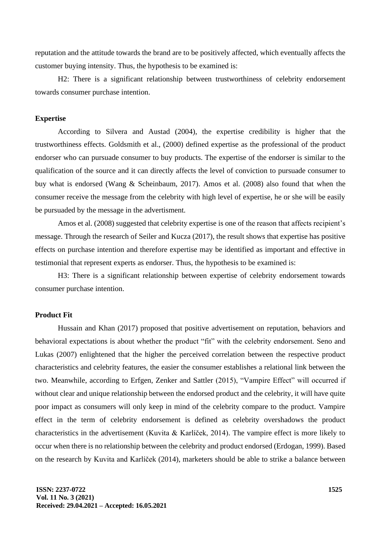reputation and the attitude towards the brand are to be positively affected, which eventually affects the customer buying intensity. Thus, the hypothesis to be examined is:

H2: There is a significant relationship between trustworthiness of celebrity endorsement towards consumer purchase intention.

#### **Expertise**

According to Silvera and Austad (2004), the expertise credibility is higher that the trustworthiness effects. Goldsmith et al., (2000) defined expertise as the professional of the product endorser who can pursuade consumer to buy products. The expertise of the endorser is similar to the qualification of the source and it can directly affects the level of conviction to pursuade consumer to buy what is endorsed (Wang & Scheinbaum, 2017). Amos et al. (2008) also found that when the consumer receive the message from the celebrity with high level of expertise, he or she will be easily be pursuaded by the message in the advertisment.

Amos et al. (2008) suggested that celebrity expertise is one of the reason that affects recipient's message. Through the research of Seiler and Kucza (2017), the result shows that expertise has positive effects on purchase intention and therefore expertise may be identified as important and effective in testimonial that represent experts as endorser. Thus, the hypothesis to be examined is:

H3: There is a significant relationship between expertise of celebrity endorsement towards consumer purchase intention.

# **Product Fit**

Hussain and Khan (2017) proposed that positive advertisement on reputation, behaviors and behavioral expectations is about whether the product "fit" with the celebrity endorsement. Seno and Lukas (2007) enlightened that the higher the perceived correlation between the respective product characteristics and celebrity features, the easier the consumer establishes a relational link between the two. Meanwhile, according to Erfgen, Zenker and Sattler (2015), "Vampire Effect" will occurred if without clear and unique relationship between the endorsed product and the celebrity, it will have quite poor impact as consumers will only keep in mind of the celebrity compare to the product. Vampire effect in the term of celebrity endorsement is defined as celebrity overshadows the product characteristics in the advertisement (Kuvita & Karlíček, 2014). The vampire effect is more likely to occur when there is no relationship between the celebrity and product endorsed (Erdogan, 1999). Based on the research by Kuvita and Karlíček (2014), marketers should be able to strike a balance between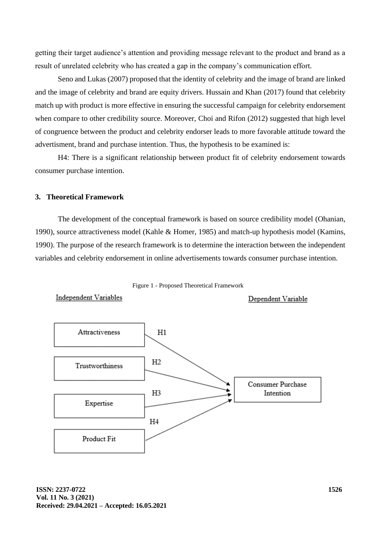getting their target audience's attention and providing message relevant to the product and brand as a result of unrelated celebrity who has created a gap in the company's communication effort.

Seno and Lukas (2007) proposed that the identity of celebrity and the image of brand are linked and the image of celebrity and brand are equity drivers. Hussain and Khan (2017) found that celebrity match up with product is more effective in ensuring the successful campaign for celebrity endorsement when compare to other credibility source. Moreover, Choi and Rifon (2012) suggested that high level of congruence between the product and celebrity endorser leads to more favorable attitude toward the advertisment, brand and purchase intention. Thus, the hypothesis to be examined is:

H4: There is a significant relationship between product fit of celebrity endorsement towards consumer purchase intention.

#### **3. Theoretical Framework**

The development of the conceptual framework is based on source credibility model (Ohanian, 1990), source attractiveness model (Kahle & Homer, 1985) and match-up hypothesis model (Kamins, 1990). The purpose of the research framework is to determine the interaction between the independent variables and celebrity endorsement in online advertisements towards consumer purchase intention.



Independent Variables

Dependent Variable

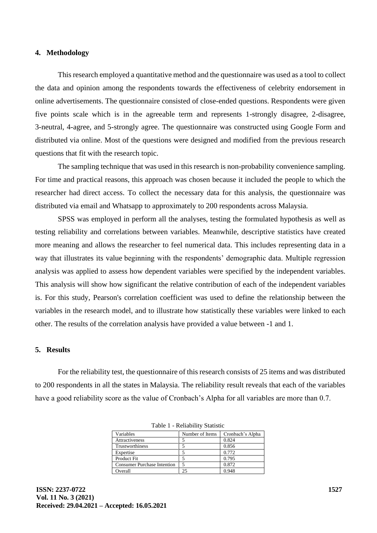#### **4. Methodology**

This research employed a quantitative method and the questionnaire was used as a tool to collect the data and opinion among the respondents towards the effectiveness of celebrity endorsement in online advertisements. The questionnaire consisted of close-ended questions. Respondents were given five points scale which is in the agreeable term and represents 1-strongly disagree, 2-disagree, 3-neutral, 4-agree, and 5-strongly agree. The questionnaire was constructed using Google Form and distributed via online. Most of the questions were designed and modified from the previous research questions that fit with the research topic.

The sampling technique that was used in this research is non-probability convenience sampling. For time and practical reasons, this approach was chosen because it included the people to which the researcher had direct access. To collect the necessary data for this analysis, the questionnaire was distributed via email and Whatsapp to approximately to 200 respondents across Malaysia.

SPSS was employed in perform all the analyses, testing the formulated hypothesis as well as testing reliability and correlations between variables. Meanwhile, descriptive statistics have created more meaning and allows the researcher to feel numerical data. This includes representing data in a way that illustrates its value beginning with the respondents' demographic data. Multiple regression analysis was applied to assess how dependent variables were specified by the independent variables. This analysis will show how significant the relative contribution of each of the independent variables is. For this study, Pearson's correlation coefficient was used to define the relationship between the variables in the research model, and to illustrate how statistically these variables were linked to each other. The results of the correlation analysis have provided a value between -1 and 1.

#### **5. Results**

For the reliability test, the questionnaire of this research consists of 25 items and was distributed to 200 respondents in all the states in Malaysia. The reliability result reveals that each of the variables have a good reliability score as the value of Cronbach's Alpha for all variables are more than 0.7.

| Variables                          | Number of Items | Cronbach's Alpha |
|------------------------------------|-----------------|------------------|
| <b>Attractiveness</b>              |                 | 0.824            |
| Trustworthiness                    |                 | 0.856            |
| Expertise                          |                 | 0.772            |
| Product Fit                        |                 | 0.795            |
| <b>Consumer Purchase Intention</b> |                 | 0.872            |
| Overall                            | 25              | 0.948            |

Table 1 - Reliability Statistic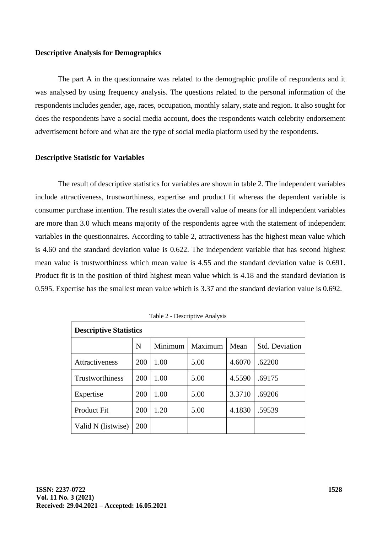#### **Descriptive Analysis for Demographics**

The part A in the questionnaire was related to the demographic profile of respondents and it was analysed by using frequency analysis. The questions related to the personal information of the respondents includes gender, age, races, occupation, monthly salary, state and region. It also sought for does the respondents have a social media account, does the respondents watch celebrity endorsement advertisement before and what are the type of social media platform used by the respondents.

#### **Descriptive Statistic for Variables**

The result of descriptive statistics for variables are shown in table 2. The independent variables include attractiveness, trustworthiness, expertise and product fit whereas the dependent variable is consumer purchase intention. The result states the overall value of means for all independent variables are more than 3.0 which means majority of the respondents agree with the statement of independent variables in the questionnaires. According to table 2, attractiveness has the highest mean value which is 4.60 and the standard deviation value is 0.622. The independent variable that has second highest mean value is trustworthiness which mean value is 4.55 and the standard deviation value is 0.691. Product fit is in the position of third highest mean value which is 4.18 and the standard deviation is 0.595. Expertise has the smallest mean value which is 3.37 and the standard deviation value is 0.692.

| <b>Descriptive Statistics</b> |     |         |         |        |                       |  |
|-------------------------------|-----|---------|---------|--------|-----------------------|--|
|                               | N   | Minimum | Maximum | Mean   | <b>Std. Deviation</b> |  |
| <b>Attractiveness</b>         | 200 | 1.00    | 5.00    | 4.6070 | .62200                |  |
| <b>Trustworthiness</b>        | 200 | 1.00    | 5.00    | 4.5590 | .69175                |  |
| Expertise                     | 200 | 1.00    | 5.00    | 3.3710 | .69206                |  |
| <b>Product Fit</b>            | 200 | 1.20    | 5.00    | 4.1830 | .59539                |  |
| Valid N (listwise)            | 200 |         |         |        |                       |  |

Table 2 - Descriptive Analysis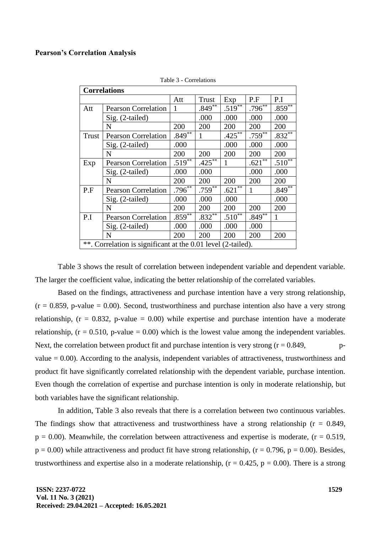#### **Pearson's Correlation Analysis**

| <b>Correlations</b>                                          |                            |             |                      |                      |                      |                      |
|--------------------------------------------------------------|----------------------------|-------------|----------------------|----------------------|----------------------|----------------------|
|                                                              |                            | Att         | Trust                | Exp                  | P.F                  | P.I                  |
| Att                                                          | <b>Pearson Correlation</b> | 1           | $.849***$            | $.519***$            | $.796^{**}$          | $.859$ <sup>**</sup> |
|                                                              | Sig. (2-tailed)            |             | .000                 | .000                 | .000                 | .000                 |
|                                                              | N                          | 200         | 200                  | 200                  | 200                  | 200                  |
| Trust                                                        | <b>Pearson Correlation</b> | $.849**$    | 1                    | $.425***$            | $.759^{**}$          | $.832***$            |
|                                                              | Sig. (2-tailed)            | .000        |                      | .000                 | .000                 | .000                 |
|                                                              | N                          | 200         | 200                  | 200                  | 200                  | 200                  |
| Exp                                                          | <b>Pearson Correlation</b> | $.519^{**}$ | $.425$ <sup>**</sup> | 1                    | $.621$ <sup>**</sup> | $.510^{**}$          |
|                                                              | Sig. (2-tailed)            | .000        | .000                 |                      | .000                 | .000                 |
|                                                              | N                          | 200         | 200                  | 200                  | 200                  | 200                  |
| P.F                                                          | <b>Pearson Correlation</b> | $.796^{**}$ | $.759^{**}$          | $.621$ <sup>**</sup> | 1                    | $.849$ <sup>**</sup> |
|                                                              | Sig. (2-tailed)            | .000        | .000                 | .000                 |                      | .000                 |
|                                                              | N                          | 200         | 200                  | 200                  | 200                  | 200                  |
| P.I                                                          | <b>Pearson Correlation</b> | $.859^{**}$ | $.832**$             | $.510^{**}$          | $.849^{**}$          | 1                    |
|                                                              | Sig. (2-tailed)            | .000        | .000                 | .000                 | .000                 |                      |
|                                                              | N                          | 200         | 200                  | 200                  | 200                  | 200                  |
| **. Correlation is significant at the 0.01 level (2-tailed). |                            |             |                      |                      |                      |                      |

Table 3 - Correlations

Table 3 shows the result of correlation between independent variable and dependent variable. The larger the coefficient value, indicating the better relationship of the correlated variables.

Based on the findings, attractiveness and purchase intention have a very strong relationship,  $(r = 0.859, p-value = 0.00)$ . Second, trustworthiness and purchase intention also have a very strong relationship,  $(r = 0.832, p-value = 0.00)$  while expertise and purchase intention have a moderate relationship,  $(r = 0.510, p-value = 0.00)$  which is the lowest value among the independent variables. Next, the correlation between product fit and purchase intention is very strong  $(r = 0.849,$  pvalue  $= 0.00$ ). According to the analysis, independent variables of attractiveness, trustworthiness and product fit have significantly correlated relationship with the dependent variable, purchase intention. Even though the correlation of expertise and purchase intention is only in moderate relationship, but both variables have the significant relationship.

In addition, Table 3 also reveals that there is a correlation between two continuous variables. The findings show that attractiveness and trustworthiness have a strong relationship ( $r = 0.849$ ,  $p = 0.00$ ). Meanwhile, the correlation between attractiveness and expertise is moderate, ( $r = 0.519$ ,  $p = 0.00$ ) while attractiveness and product fit have strong relationship, ( $r = 0.796$ ,  $p = 0.00$ ). Besides, trustworthiness and expertise also in a moderate relationship,  $(r = 0.425, p = 0.00)$ . There is a strong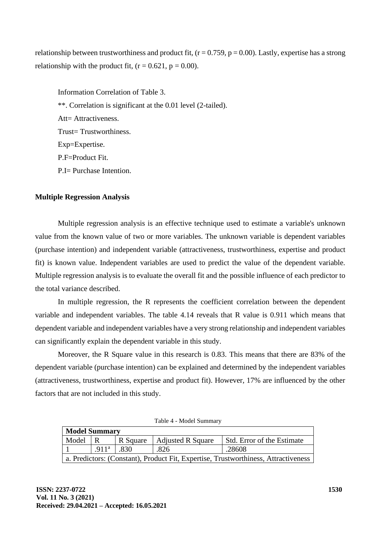relationship between trustworthiness and product fit,  $(r = 0.759, p = 0.00)$ . Lastly, expertise has a strong relationship with the product fit,  $(r = 0.621, p = 0.00)$ .

Information Correlation of Table 3. \*\*. Correlation is significant at the 0.01 level (2-tailed). Att= Attractiveness. Trust= Trustworthiness. Exp=Expertise. P.F=Product Fit. P.I= Purchase Intention.

# **Multiple Regression Analysis**

Multiple regression analysis is an effective technique used to estimate a variable's unknown value from the known value of two or more variables. The unknown variable is dependent variables (purchase intention) and independent variable (attractiveness, trustworthiness, expertise and product fit) is known value. Independent variables are used to predict the value of the dependent variable. Multiple regression analysis is to evaluate the overall fit and the possible influence of each predictor to the total variance described.

In multiple regression, the R represents the coefficient correlation between the dependent variable and independent variables. The table 4.14 reveals that R value is 0.911 which means that dependent variable and independent variables have a very strong relationship and independent variables can significantly explain the dependent variable in this study.

Moreover, the R Square value in this research is 0.83. This means that there are 83% of the dependent variable (purchase intention) can be explained and determined by the independent variables (attractiveness, trustworthiness, expertise and product fit). However, 17% are influenced by the other factors that are not included in this study.

| <b>Model Summary</b>                                                               |                          |          |                          |                            |  |  |  |
|------------------------------------------------------------------------------------|--------------------------|----------|--------------------------|----------------------------|--|--|--|
| Model                                                                              |                          | R Square | <b>Adjusted R Square</b> | Std. Error of the Estimate |  |  |  |
|                                                                                    | .911 <sup>a</sup>   .830 |          | .826                     | .28608                     |  |  |  |
| a. Predictors: (Constant), Product Fit, Expertise, Trustworthiness, Attractiveness |                          |          |                          |                            |  |  |  |

Table 4 - Model Summary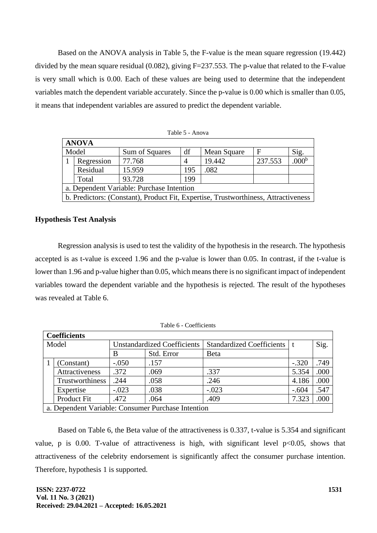Based on the ANOVA analysis in Table 5, the F-value is the mean square regression (19.442) divided by the mean square residual (0.082), giving F=237.553. The p-value that related to the F-value is very small which is 0.00. Each of these values are being used to determine that the independent variables match the dependent variable accurately. Since the p-value is 0.00 which is smaller than 0.05, it means that independent variables are assured to predict the dependent variable.

| <b>ANOVA</b>                              |                                                                                    |                |     |             |         |                |  |
|-------------------------------------------|------------------------------------------------------------------------------------|----------------|-----|-------------|---------|----------------|--|
|                                           | Model                                                                              | Sum of Squares | df  | Mean Square | F       | Sig.           |  |
|                                           | Regression                                                                         | 77.768         |     | 19.442      | 237.553 | $.000^{\rm t}$ |  |
|                                           | Residual                                                                           | 15.959         | 195 | .082        |         |                |  |
|                                           | Total                                                                              | 93.728         | 199 |             |         |                |  |
| a. Dependent Variable: Purchase Intention |                                                                                    |                |     |             |         |                |  |
|                                           | b. Predictors: (Constant), Product Fit, Expertise, Trustworthiness, Attractiveness |                |     |             |         |                |  |

Table 5 - Anova

# **Hypothesis Test Analysis**

Regression analysis is used to test the validity of the hypothesis in the research. The hypothesis accepted is as t-value is exceed 1.96 and the p-value is lower than 0.05. In contrast, if the t-value is lower than 1.96 and p-value higher than 0.05, which means there is no significant impact of independent variables toward the dependent variable and the hypothesis is rejected. The result of the hypotheses was revealed at Table 6.

|       | <b>Coefficients</b> |                                    |                                                    |                               |         |      |  |  |
|-------|---------------------|------------------------------------|----------------------------------------------------|-------------------------------|---------|------|--|--|
| Model |                     | <b>Unstandardized Coefficients</b> |                                                    | Standardized Coefficients   t |         | Sig. |  |  |
|       |                     | В                                  | Std. Error                                         | Beta                          |         |      |  |  |
|       | (Constant)          | $-.050$                            | .157                                               |                               | $-.320$ | .749 |  |  |
|       | Attractiveness      | .372                               | .069                                               | .337                          | 5.354   | .000 |  |  |
|       | Trustworthiness     | .244                               | .058                                               | .246                          | 4.186   | .000 |  |  |
|       | Expertise           | $-.023$                            | .038                                               | $-.023$                       | $-.604$ | .547 |  |  |
|       | Product Fit         | .472                               | .064                                               | .409                          | 7.323   | .000 |  |  |
|       |                     |                                    | a. Dependent Variable: Consumer Purchase Intention |                               |         |      |  |  |

Table 6 - Coefficients

Based on Table 6, the Beta value of the attractiveness is 0.337, t-value is 5.354 and significant value, p is 0.00. T-value of attractiveness is high, with significant level  $p<0.05$ , shows that attractiveness of the celebrity endorsement is significantly affect the consumer purchase intention. Therefore, hypothesis 1 is supported.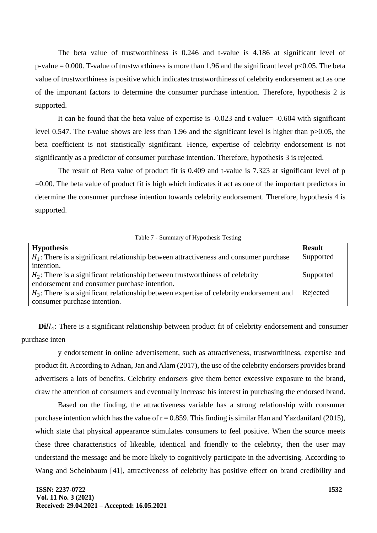The beta value of trustworthiness is 0.246 and t-value is 4.186 at significant level of p-value  $= 0.000$ . T-value of trustworthiness is more than 1.96 and the significant level p<0.05. The beta value of trustworthiness is positive which indicates trustworthiness of celebrity endorsement act as one of the important factors to determine the consumer purchase intention. Therefore, hypothesis 2 is supported.

It can be found that the beta value of expertise is -0.023 and t-value= -0.604 with significant level 0.547. The t-value shows are less than 1.96 and the significant level is higher than p>0.05, the beta coefficient is not statistically significant. Hence, expertise of celebrity endorsement is not significantly as a predictor of consumer purchase intention. Therefore, hypothesis 3 is rejected.

The result of Beta value of product fit is 0.409 and t-value is 7.323 at significant level of p =0.00. The beta value of product fit is high which indicates it act as one of the important predictors in determine the consumer purchase intention towards celebrity endorsement. Therefore, hypothesis 4 is supported.

Table 7 - Summary of Hypothesis Testing

| <b>Hypothesis</b>                                                                          | <b>Result</b> |
|--------------------------------------------------------------------------------------------|---------------|
| $H_1$ : There is a significant relationship between attractiveness and consumer purchase   | Supported     |
| intention.                                                                                 |               |
| $H_2$ : There is a significant relationship between trustworthiness of celebrity           | Supported     |
| endorsement and consumer purchase intention.                                               |               |
| $H_3$ : There is a significant relationship between expertise of celebrity endorsement and | Rejected      |
| consumer purchase intention.                                                               |               |

**Di** $H_4$ : There is a significant relationship between product fit of celebrity endorsement and consumer purchase inten

y endorsement in online advertisement, such as attractiveness, trustworthiness, expertise and product fit. According to Adnan, Jan and Alam (2017), the use of the celebrity endorsers provides brand advertisers a lots of benefits. Celebrity endorsers give them better excessive exposure to the brand, draw the attention of consumers and eventually increase his interest in purchasing the endorsed brand.

Based on the finding, the attractiveness variable has a strong relationship with consumer purchase intention which has the value of  $r = 0.859$ . This finding is similar Han and Yazdanifard (2015), which state that physical appearance stimulates consumers to feel positive. When the source meets these three characteristics of likeable, identical and friendly to the celebrity, then the user may understand the message and be more likely to cognitively participate in the advertising. According to Wang and Scheinbaum [41], attractiveness of celebrity has positive effect on brand credibility and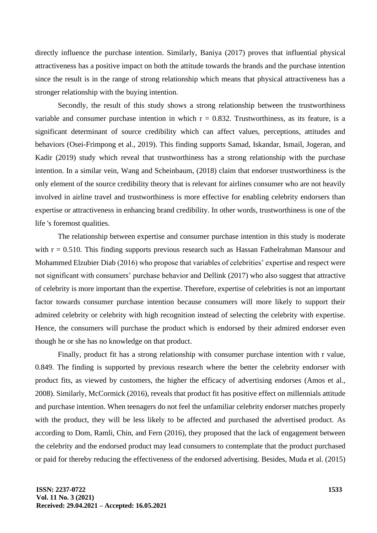directly influence the purchase intention. Similarly, Baniya (2017) proves that influential physical attractiveness has a positive impact on both the attitude towards the brands and the purchase intention since the result is in the range of strong relationship which means that physical attractiveness has a stronger relationship with the buying intention.

Secondly, the result of this study shows a strong relationship between the trustworthiness variable and consumer purchase intention in which  $r = 0.832$ . Trustworthiness, as its feature, is a significant determinant of source credibility which can affect values, perceptions, attitudes and behaviors (Osei-Frimpong et al., 2019). This finding supports Samad, Iskandar, Ismail, Jogeran, and Kadir (2019) study which reveal that trustworthiness has a strong relationship with the purchase intention. In a similar vein, Wang and Scheinbaum, (2018) claim that endorser trustworthiness is the only element of the source credibility theory that is relevant for airlines consumer who are not heavily involved in airline travel and trustworthiness is more effective for enabling celebrity endorsers than expertise or attractiveness in enhancing brand credibility. In other words, trustworthiness is one of the life 's foremost qualities.

The relationship between expertise and consumer purchase intention in this study is moderate with  $r = 0.510$ . This finding supports previous research such as Hassan Fathelrahman Mansour and Mohammed Elzubier Diab (2016) who propose that variables of celebrities' expertise and respect were not significant with consumers' purchase behavior and Dellink (2017) who also suggest that attractive of celebrity is more important than the expertise. Therefore, expertise of celebrities is not an important factor towards consumer purchase intention because consumers will more likely to support their admired celebrity or celebrity with high recognition instead of selecting the celebrity with expertise. Hence, the consumers will purchase the product which is endorsed by their admired endorser even though he or she has no knowledge on that product.

Finally, product fit has a strong relationship with consumer purchase intention with r value, 0.849. The finding is supported by previous research where the better the celebrity endorser with product fits, as viewed by customers, the higher the efficacy of advertising endorses (Amos et al., 2008). Similarly, McCormick (2016), reveals that product fit has positive effect on millennials attitude and purchase intention. When teenagers do not feel the unfamiliar celebrity endorser matches properly with the product, they will be less likely to be affected and purchased the advertised product. As according to Dom, Ramli, Chin, and Fern (2016), they proposed that the lack of engagement between the celebrity and the endorsed product may lead consumers to contemplate that the product purchased or paid for thereby reducing the effectiveness of the endorsed advertising. Besides, Muda et al. (2015)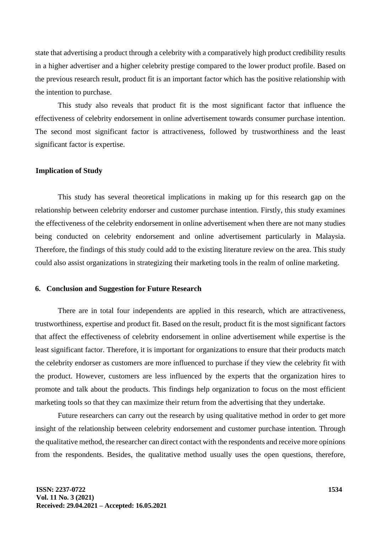state that advertising a product through a celebrity with a comparatively high product credibility results in a higher advertiser and a higher celebrity prestige compared to the lower product profile. Based on the previous research result, product fit is an important factor which has the positive relationship with the intention to purchase.

This study also reveals that product fit is the most significant factor that influence the effectiveness of celebrity endorsement in online advertisement towards consumer purchase intention. The second most significant factor is attractiveness, followed by trustworthiness and the least significant factor is expertise.

# **Implication of Study**

This study has several theoretical implications in making up for this research gap on the relationship between celebrity endorser and customer purchase intention. Firstly, this study examines the effectiveness of the celebrity endorsement in online advertisement when there are not many studies being conducted on celebrity endorsement and online advertisement particularly in Malaysia. Therefore, the findings of this study could add to the existing literature review on the area. This study could also assist organizations in strategizing their marketing tools in the realm of online marketing.

# **6. Conclusion and Suggestion for Future Research**

There are in total four independents are applied in this research, which are attractiveness, trustworthiness, expertise and product fit. Based on the result, product fit is the most significant factors that affect the effectiveness of celebrity endorsement in online advertisement while expertise is the least significant factor. Therefore, it is important for organizations to ensure that their products match the celebrity endorser as customers are more influenced to purchase if they view the celebrity fit with the product. However, customers are less influenced by the experts that the organization hires to promote and talk about the products. This findings help organization to focus on the most efficient marketing tools so that they can maximize their return from the advertising that they undertake.

Future researchers can carry out the research by using qualitative method in order to get more insight of the relationship between celebrity endorsement and customer purchase intention. Through the qualitative method, the researcher can direct contact with the respondents and receive more opinions from the respondents. Besides, the qualitative method usually uses the open questions, therefore,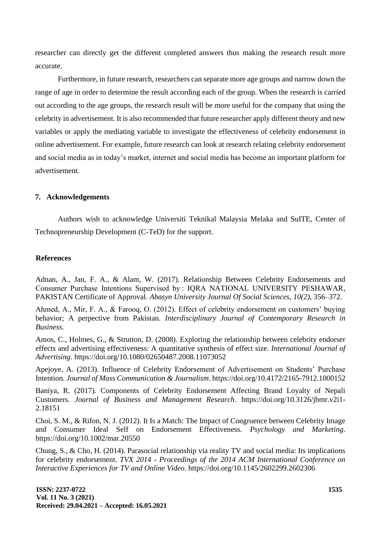researcher can directly get the different completed answers thus making the research result more accurate.

Furthermore, in future research, researchers can separate more age groups and narrow down the range of age in order to determine the result according each of the group. When the research is carried out according to the age groups, the research result will be more useful for the company that using the celebrity in advertisement. It is also recommended that future researcher apply different theory and new variables or apply the mediating variable to investigate the effectiveness of celebrity endorsement in online advertisement. For example, future research can look at research relating celebrity endorsement and social media as in today's market, internet and social media has become an important platform for advertisement.

## **7. Acknowledgements**

Authors wish to acknowledge Universiti Teknikal Malaysia Melaka and SuITE, Center of Technopreneurship Development (C-TeD) for the support.

#### **References**

Adnan, A., Jan, F. A., & Alam, W. (2017). Relationship Between Celebrity Endorsements and Consumer Purchase Intentions Supervised by : IQRA NATIONAL UNIVERSITY PESHAWAR, PAKISTAN Certificate of Approval. *Abasyn University Journal Of Social Sciences*, *10(2)*, 356–372.

Ahmed, A., Mir, F. A., & Farooq, O. (2012). Effect of celebrity endorsement on customers' buying behavior; A perpective from Pakistan. *Interdisciplinary Journal of Contemporary Research in Business*.

Amos, C., Holmes, G., & Strutton, D. (2008). Exploring the relationship between celebrity endorser effects and advertising effectiveness: A quantitative synthesis of effect size. *International Journal of Advertising*. https://doi.org/10.1080/02650487.2008.11073052

Apejoye, A. (2013). Influence of Celebrity Endorsement of Advertisement on Students' Purchase Intention. *Journal of Mass Communication & Journalism*. https://doi.org/10.4172/2165-7912.1000152

Baniya, R. (2017). Components of Celebrity Endorsement Affecting Brand Loyalty of Nepali Customers. *Journal of Business and Management Research*. https://doi.org/10.3126/jbmr.v2i1- 2.18151

Choi, S. M., & Rifon, N. J. (2012). It Is a Match: The Impact of Congruence between Celebrity Image and Consumer Ideal Self on Endorsement Effectiveness. *Psychology and Marketing*. https://doi.org/10.1002/mar.20550

Chung, S., & Cho, H. (2014). Parasocial relationship via reality TV and social media: Its implications for celebrity endorsement. *TVX 2014 - Proceedings of the 2014 ACM International Conference on Interactive Experiences for TV and Online Video*. https://doi.org/10.1145/2602299.2602306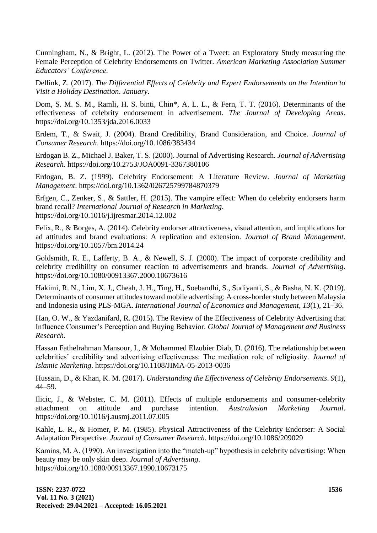Cunningham, N., & Bright, L. (2012). The Power of a Tweet: an Exploratory Study measuring the Female Perception of Celebrity Endorsements on Twitter. *American Marketing Association Summer Educators' Conference*.

Dellink, Z. (2017). *The Differential Effects of Celebrity and Expert Endorsements on the Intention to Visit a Holiday Destination*. *January*.

Dom, S. M. S. M., Ramli, H. S. binti, Chin\*, A. L. L., & Fern, T. T. (2016). Determinants of the effectiveness of celebrity endorsement in advertisement. *The Journal of Developing Areas*. https://doi.org/10.1353/jda.2016.0033

Erdem, T., & Swait, J. (2004). Brand Credibility, Brand Consideration, and Choice. *Journal of Consumer Research*. https://doi.org/10.1086/383434

Erdogan B. Z., Michael J. Baker, T. S. (2000). Journal of Advertising Research. *Journal of Advertising Research*. https://doi.org/10.2753/JOA0091-3367380106

Erdogan, B. Z. (1999). Celebrity Endorsement: A Literature Review. *Journal of Marketing Management*. https://doi.org/10.1362/026725799784870379

Erfgen, C., Zenker, S., & Sattler, H. (2015). The vampire effect: When do celebrity endorsers harm brand recall? *International Journal of Research in Marketing*. https://doi.org/10.1016/j.ijresmar.2014.12.002

Felix, R., & Borges, A. (2014). Celebrity endorser attractiveness, visual attention, and implications for ad attitudes and brand evaluations: A replication and extension. *Journal of Brand Management*. https://doi.org/10.1057/bm.2014.24

Goldsmith, R. E., Lafferty, B. A., & Newell, S. J. (2000). The impact of corporate credibility and celebrity credibility on consumer reaction to advertisements and brands. *Journal of Advertising*. https://doi.org/10.1080/00913367.2000.10673616

Hakimi, R. N., Lim, X. J., Cheah, J. H., Ting, H., Soebandhi, S., Sudiyanti, S., & Basha, N. K. (2019). Determinants of consumer attitudes toward mobile advertising: A cross-border study between Malaysia and Indonesia using PLS-MGA. *International Journal of Economics and Management*, *13*(1), 21–36.

Han, O. W., & Yazdanifard, R. (2015). The Review of the Effectiveness of Celebrity Advertising that Influence Consumer's Perception and Buying Behavior. *Global Journal of Management and Business Research*.

Hassan Fathelrahman Mansour, I., & Mohammed Elzubier Diab, D. (2016). The relationship between celebrities' credibility and advertising effectiveness: The mediation role of religiosity. *Journal of Islamic Marketing*. https://doi.org/10.1108/JIMA-05-2013-0036

Hussain, D., & Khan, K. M. (2017). *Understanding the Effectiveness of Celebrity Endorsements*. *9*(1), 44–59.

Ilicic, J., & Webster, C. M. (2011). Effects of multiple endorsements and consumer-celebrity attachment on attitude and purchase intention. *Australasian Marketing Journal*. https://doi.org/10.1016/j.ausmj.2011.07.005

Kahle, L. R., & Homer, P. M. (1985). Physical Attractiveness of the Celebrity Endorser: A Social Adaptation Perspective. *Journal of Consumer Research*. https://doi.org/10.1086/209029

Kamins, M. A. (1990). An investigation into the "match-up" hypothesis in celebrity advertising: When beauty may be only skin deep. *Journal of Advertising*. https://doi.org/10.1080/00913367.1990.10673175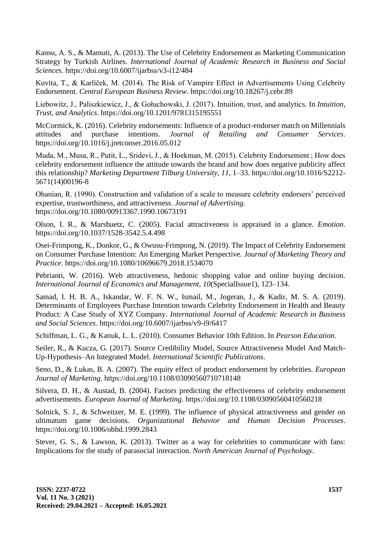Kansu, A. S., & Mamuti, A. (2013). The Use of Celebrity Endorsement as Marketing Communication Strategy by Turkish Airlines. *International Journal of Academic Research in Business and Social Sciences*. https://doi.org/10.6007/ijarbss/v3-i12/484

Kuvita, T., & Karlíček, M. (2014). The Risk of Vampire Effect in Advertisements Using Celebrity Endorsement. *Central European Business Review*. https://doi.org/10.18267/j.cebr.89

Liebowitz, J., Paliszkiewicz, J., & Gołuchowski, J. (2017). Intuition, trust, and analytics. In *Intuition, Trust, and Analytics*. https://doi.org/10.1201/9781315195551

McCormick, K. (2016). Celebrity endorsements: Influence of a product-endorser match on Millennials attitudes and purchase intentions. *Journal of Retailing and Consumer Services*. https://doi.org/10.1016/j.jretconser.2016.05.012

Muda, M., Musa, R., Putit, L., Sridevi, J., & Hoekman, M. (2015). Celebrity Endorsement ; How does celebrity endorsement influence the attitude towards the brand and how does negative publicity affect this relationship? *Marketing Department Tilburg University*, *11*, 1–33. https://doi.org/10.1016/S2212- 5671(14)00196-8

Ohanian, R. (1990). Construction and validation of a scale to measure celebrity endorsers' perceived expertise, trustworthiness, and attractiveness. *Journal of Advertising*. https://doi.org/10.1080/00913367.1990.10673191

Olson, I. R., & Marshuetz, C. (2005). Facial attractiveness is appraised in a glance. *Emotion*. https://doi.org/10.1037/1528-3542.5.4.498

Osei-Frimpong, K., Donkor, G., & Owusu-Frimpong, N. (2019). The Impact of Celebrity Endorsement on Consumer Purchase Intention: An Emerging Market Perspective. *Journal of Marketing Theory and Practice*. https://doi.org/10.1080/10696679.2018.1534070

Pebrianti, W. (2016). Web attractiveness, hedonic shopping value and online buying decision. *International Journal of Economics and Management*, *10*(SpecialIssue1), 123–134.

Samad, I. H. B. A., Iskandar, W. F. N. W., Ismail, M., Jogeran, J., & Kadir, M. S. A. (2019). Determinants of Employees Purchase Intention towards Celebrity Endorsement in Health and Beauty Product: A Case Study of XYZ Company. *International Journal of Academic Research in Business and Social Sciences*. https://doi.org/10.6007/ijarbss/v9-i9/6417

Schiffman, L. G., & Kanuk, L. L. (2010). Consumer Behavior 10th Edition. In *Pearson Education*.

Seiler, R., & Kucza, G. (2017). Source Credibility Model, Source Attractiveness Model And Match-Up-Hypothesis–An Integrated Model. *International Scientific Publications*.

Seno, D., & Lukas, B. A. (2007). The equity effect of product endorsement by celebrities. *European Journal of Marketing*. https://doi.org/10.1108/03090560710718148

Silvera, D. H., & Austad, B. (2004). Factors predicting the effectiveness of celebrity endorsement advertisements. *European Journal of Marketing*. https://doi.org/10.1108/03090560410560218

Solnick, S. J., & Schweitzer, M. E. (1999). The influence of physical attractiveness and gender on ultimatum game decisions. *Organizational Behavior and Human Decision Processes*. https://doi.org/10.1006/obhd.1999.2843

Stever, G. S., & Lawson, K. (2013). Twitter as a way for celebrities to communicate with fans: Implications for the study of parasocial interaction. *North American Journal of Psychology*.